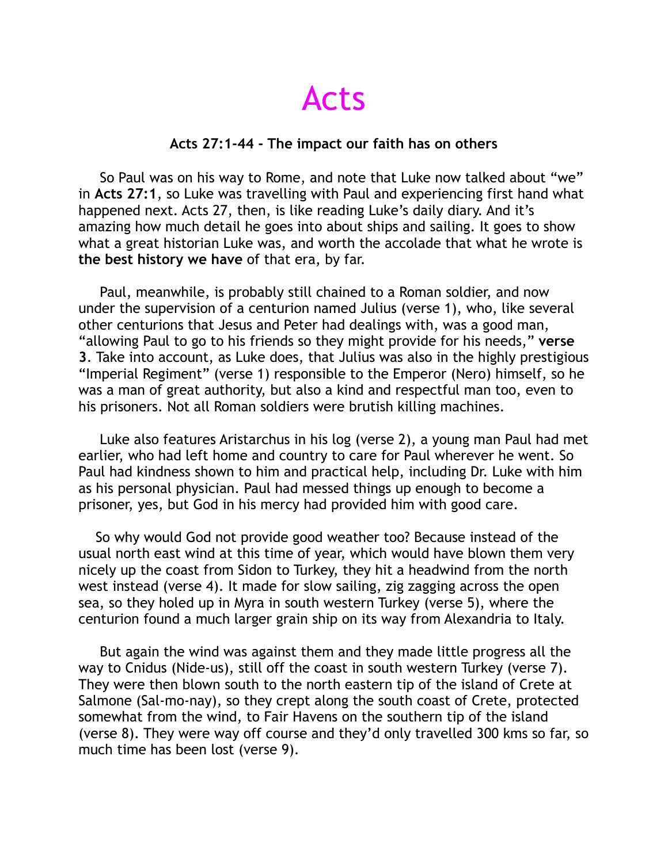Acts

## **Acts 27:1-44 - The impact our faith has on others**

 So Paul was on his way to Rome, and note that Luke now talked about "we" in **Acts 27:1**, so Luke was travelling with Paul and experiencing first hand what happened next. Acts 27, then, is like reading Luke's daily diary. And it's amazing how much detail he goes into about ships and sailing. It goes to show what a great historian Luke was, and worth the accolade that what he wrote is **the best history we have** of that era, by far.

 Paul, meanwhile, is probably still chained to a Roman soldier, and now under the supervision of a centurion named Julius (verse 1), who, like several other centurions that Jesus and Peter had dealings with, was a good man, "allowing Paul to go to his friends so they might provide for his needs," **verse 3**. Take into account, as Luke does, that Julius was also in the highly prestigious "Imperial Regiment" (verse 1) responsible to the Emperor (Nero) himself, so he was a man of great authority, but also a kind and respectful man too, even to his prisoners. Not all Roman soldiers were brutish killing machines.

 Luke also features Aristarchus in his log (verse 2), a young man Paul had met earlier, who had left home and country to care for Paul wherever he went. So Paul had kindness shown to him and practical help, including Dr. Luke with him as his personal physician. Paul had messed things up enough to become a prisoner, yes, but God in his mercy had provided him with good care.

 So why would God not provide good weather too? Because instead of the usual north east wind at this time of year, which would have blown them very nicely up the coast from Sidon to Turkey, they hit a headwind from the north west instead (verse 4). It made for slow sailing, zig zagging across the open sea, so they holed up in Myra in south western Turkey (verse 5), where the centurion found a much larger grain ship on its way from Alexandria to Italy.

 But again the wind was against them and they made little progress all the way to Cnidus (Nide-us), still off the coast in south western Turkey (verse 7). They were then blown south to the north eastern tip of the island of Crete at Salmone (Sal-mo-nay), so they crept along the south coast of Crete, protected somewhat from the wind, to Fair Havens on the southern tip of the island (verse 8). They were way off course and they'd only travelled 300 kms so far, so much time has been lost (verse 9).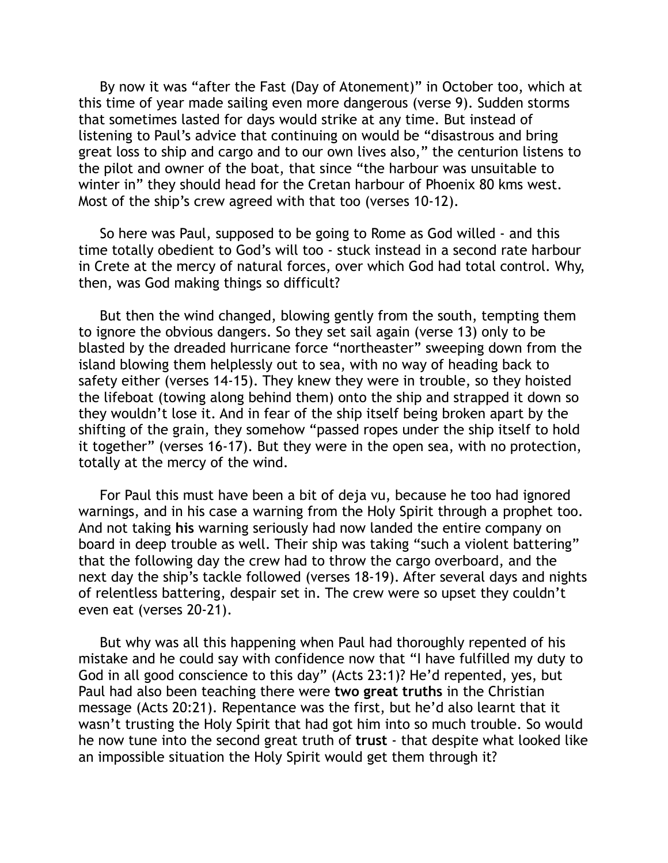By now it was "after the Fast (Day of Atonement)" in October too, which at this time of year made sailing even more dangerous (verse 9). Sudden storms that sometimes lasted for days would strike at any time. But instead of listening to Paul's advice that continuing on would be "disastrous and bring great loss to ship and cargo and to our own lives also," the centurion listens to the pilot and owner of the boat, that since "the harbour was unsuitable to winter in" they should head for the Cretan harbour of Phoenix 80 kms west. Most of the ship's crew agreed with that too (verses 10-12).

 So here was Paul, supposed to be going to Rome as God willed - and this time totally obedient to God's will too - stuck instead in a second rate harbour in Crete at the mercy of natural forces, over which God had total control. Why, then, was God making things so difficult?

 But then the wind changed, blowing gently from the south, tempting them to ignore the obvious dangers. So they set sail again (verse 13) only to be blasted by the dreaded hurricane force "northeaster" sweeping down from the island blowing them helplessly out to sea, with no way of heading back to safety either (verses 14-15). They knew they were in trouble, so they hoisted the lifeboat (towing along behind them) onto the ship and strapped it down so they wouldn't lose it. And in fear of the ship itself being broken apart by the shifting of the grain, they somehow "passed ropes under the ship itself to hold it together" (verses 16-17). But they were in the open sea, with no protection, totally at the mercy of the wind.

 For Paul this must have been a bit of deja vu, because he too had ignored warnings, and in his case a warning from the Holy Spirit through a prophet too. And not taking **his** warning seriously had now landed the entire company on board in deep trouble as well. Their ship was taking "such a violent battering" that the following day the crew had to throw the cargo overboard, and the next day the ship's tackle followed (verses 18-19). After several days and nights of relentless battering, despair set in. The crew were so upset they couldn't even eat (verses 20-21).

 But why was all this happening when Paul had thoroughly repented of his mistake and he could say with confidence now that "I have fulfilled my duty to God in all good conscience to this day" (Acts 23:1)? He'd repented, yes, but Paul had also been teaching there were **two great truths** in the Christian message (Acts 20:21). Repentance was the first, but he'd also learnt that it wasn't trusting the Holy Spirit that had got him into so much trouble. So would he now tune into the second great truth of **trust** - that despite what looked like an impossible situation the Holy Spirit would get them through it?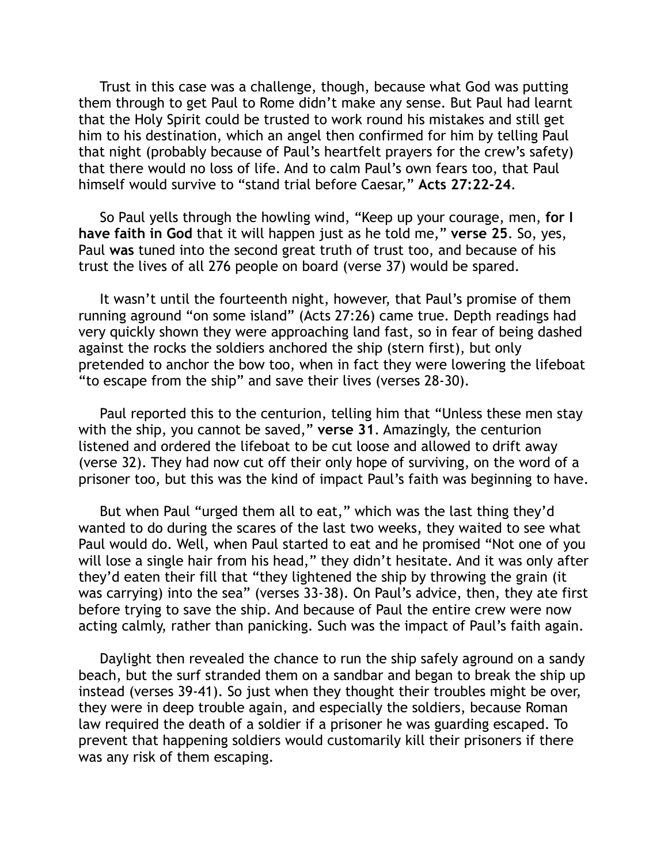Trust in this case was a challenge, though, because what God was putting them through to get Paul to Rome didn't make any sense. But Paul had learnt that the Holy Spirit could be trusted to work round his mistakes and still get him to his destination, which an angel then confirmed for him by telling Paul that night (probably because of Paul's heartfelt prayers for the crew's safety) that there would no loss of life. And to calm Paul's own fears too, that Paul himself would survive to "stand trial before Caesar," **Acts 27:22-24**.

 So Paul yells through the howling wind, "Keep up your courage, men, **for I have faith in God** that it will happen just as he told me," **verse 25**. So, yes, Paul **was** tuned into the second great truth of trust too, and because of his trust the lives of all 276 people on board (verse 37) would be spared.

 It wasn't until the fourteenth night, however, that Paul's promise of them running aground "on some island" (Acts 27:26) came true. Depth readings had very quickly shown they were approaching land fast, so in fear of being dashed against the rocks the soldiers anchored the ship (stern first), but only pretended to anchor the bow too, when in fact they were lowering the lifeboat "to escape from the ship" and save their lives (verses 28-30).

 Paul reported this to the centurion, telling him that "Unless these men stay with the ship, you cannot be saved," **verse 31**. Amazingly, the centurion listened and ordered the lifeboat to be cut loose and allowed to drift away (verse 32). They had now cut off their only hope of surviving, on the word of a prisoner too, but this was the kind of impact Paul's faith was beginning to have.

 But when Paul "urged them all to eat," which was the last thing they'd wanted to do during the scares of the last two weeks, they waited to see what Paul would do. Well, when Paul started to eat and he promised "Not one of you will lose a single hair from his head," they didn't hesitate. And it was only after they'd eaten their fill that "they lightened the ship by throwing the grain (it was carrying) into the sea" (verses 33-38). On Paul's advice, then, they ate first before trying to save the ship. And because of Paul the entire crew were now acting calmly, rather than panicking. Such was the impact of Paul's faith again.

 Daylight then revealed the chance to run the ship safely aground on a sandy beach, but the surf stranded them on a sandbar and began to break the ship up instead (verses 39-41). So just when they thought their troubles might be over, they were in deep trouble again, and especially the soldiers, because Roman law required the death of a soldier if a prisoner he was guarding escaped. To prevent that happening soldiers would customarily kill their prisoners if there was any risk of them escaping.